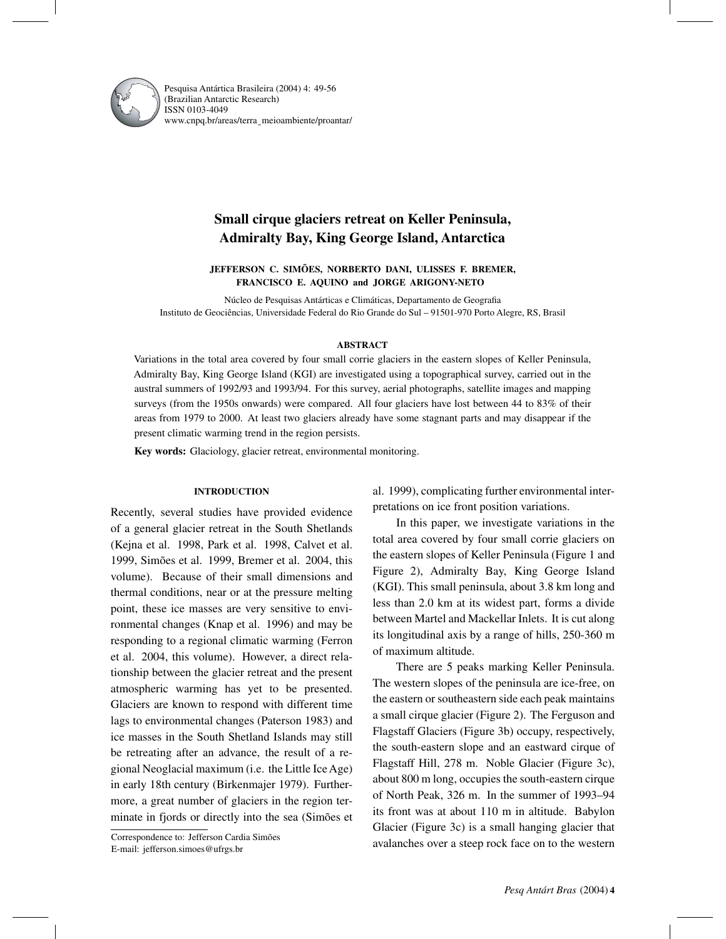

Pesquisa Antártica Brasileira (2004) 4: 49-56 (Brazilian Antarctic Research) ISSN 0103-4049 www.cnpq.br/areas/terra¯ meioambiente/proantar/

# **Small cirque glaciers retreat on Keller Peninsula, Admiralty Bay, King George Island, Antarctica**

**JEFFERSON C. SIMÕES, NORBERTO DANI, ULISSES F. BREMER, FRANCISCO E. AQUINO and JORGE ARIGONY-NETO**

Núcleo de Pesquisas Antárticas e Climáticas, Departamento de Geografia Instituto de Geociências, Universidade Federal do Rio Grande do Sul – 91501-970 Porto Alegre, RS, Brasil

## **ABSTRACT**

Variations in the total area covered by four small corrie glaciers in the eastern slopes of Keller Peninsula, Admiralty Bay, King George Island (KGI) are investigated using a topographical survey, carried out in the austral summers of 1992/93 and 1993/94. For this survey, aerial photographs, satellite images and mapping surveys (from the 1950s onwards) were compared. All four glaciers have lost between 44 to 83% of their areas from 1979 to 2000. At least two glaciers already have some stagnant parts and may disappear if the present climatic warming trend in the region persists.

**Key words:** Glaciology, glacier retreat, environmental monitoring.

# **INTRODUCTION**

Recently, several studies have provided evidence of a general glacier retreat in the South Shetlands (Kejna et al. 1998, Park et al. 1998, Calvet et al. 1999, Simões et al. 1999, Bremer et al. 2004, this volume). Because of their small dimensions and thermal conditions, near or at the pressure melting point, these ice masses are very sensitive to environmental changes (Knap et al. 1996) and may be responding to a regional climatic warming (Ferron et al. 2004, this volume). However, a direct relationship between the glacier retreat and the present atmospheric warming has yet to be presented. Glaciers are known to respond with different time lags to environmental changes (Paterson 1983) and ice masses in the South Shetland Islands may still be retreating after an advance, the result of a regional Neoglacial maximum (i.e. the Little Ice Age) in early 18th century (Birkenmajer 1979). Furthermore, a great number of glaciers in the region terminate in fjords or directly into the sea (Simões et

Correspondence to: Jefferson Cardia Simões E-mail: jefferson.simoes@ufrgs.br

al. 1999), complicating further environmental interpretations on ice front position variations.

In this paper, we investigate variations in the total area covered by four small corrie glaciers on the eastern slopes of Keller Peninsula (Figure 1 and Figure 2), Admiralty Bay, King George Island (KGI). This small peninsula, about 3.8 km long and less than 2.0 km at its widest part, forms a divide between Martel and Mackellar Inlets. It is cut along its longitudinal axis by a range of hills, 250-360 m of maximum altitude.

There are 5 peaks marking Keller Peninsula. The western slopes of the peninsula are ice-free, on the eastern or southeastern side each peak maintains a small cirque glacier (Figure 2). The Ferguson and Flagstaff Glaciers (Figure 3b) occupy, respectively, the south-eastern slope and an eastward cirque of Flagstaff Hill, 278 m. Noble Glacier (Figure 3c), about 800 m long, occupies the south-eastern cirque of North Peak, 326 m. In the summer of 1993–94 its front was at about 110 m in altitude. Babylon Glacier (Figure 3c) is a small hanging glacier that avalanches over a steep rock face on to the western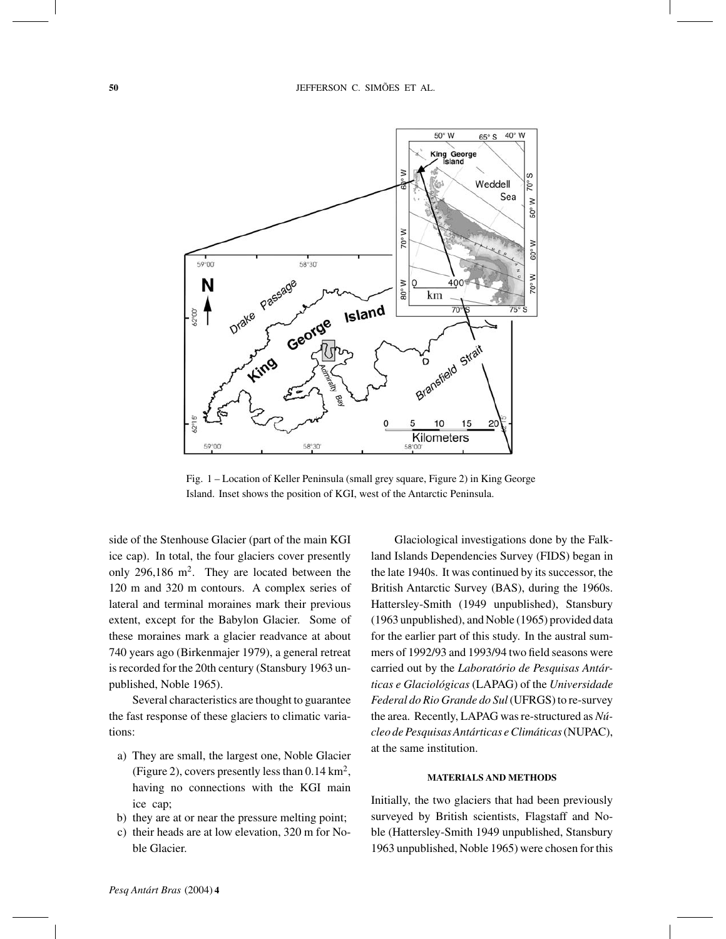

Fig. 1 – Location of Keller Peninsula (small grey square, Figure 2) in King George Island. Inset shows the position of KGI, west of the Antarctic Peninsula.

side of the Stenhouse Glacier (part of the main KGI ice cap). In total, the four glaciers cover presently only 296,186 m<sup>2</sup>. They are located between the 120 m and 320 m contours. A complex series of lateral and terminal moraines mark their previous extent, except for the Babylon Glacier. Some of these moraines mark a glacier readvance at about 740 years ago (Birkenmajer 1979), a general retreat is recorded for the 20th century (Stansbury 1963 unpublished, Noble 1965).

Several characteristics are thought to guarantee the fast response of these glaciers to climatic variations:

- a) They are small, the largest one, Noble Glacier (Figure 2), covers presently less than  $0.14 \text{ km}^2$ , having no connections with the KGI main ice cap;
- b) they are at or near the pressure melting point;
- c) their heads are at low elevation, 320 m for Noble Glacier.

Glaciological investigations done by the Falkland Islands Dependencies Survey (FIDS) began in the late 1940s. It was continued by its successor, the British Antarctic Survey (BAS), during the 1960s. Hattersley-Smith (1949 unpublished), Stansbury (1963 unpublished), and Noble (1965) provided data for the earlier part of this study. In the austral summers of 1992/93 and 1993/94 two field seasons were carried out by the *Laboratório de Pesquisas Antárticas e Glaciológicas* (LAPAG) of the *Universidade Federal do Rio Grande do Sul*(UFRGS) to re-survey the area. Recently, LAPAG was re-structured as *Núcleo de Pesquisas Antárticas e Climáticas*(NUPAC), at the same institution.

#### **MATERIALS AND METHODS**

Initially, the two glaciers that had been previously surveyed by British scientists, Flagstaff and Noble (Hattersley-Smith 1949 unpublished, Stansbury 1963 unpublished, Noble 1965) were chosen for this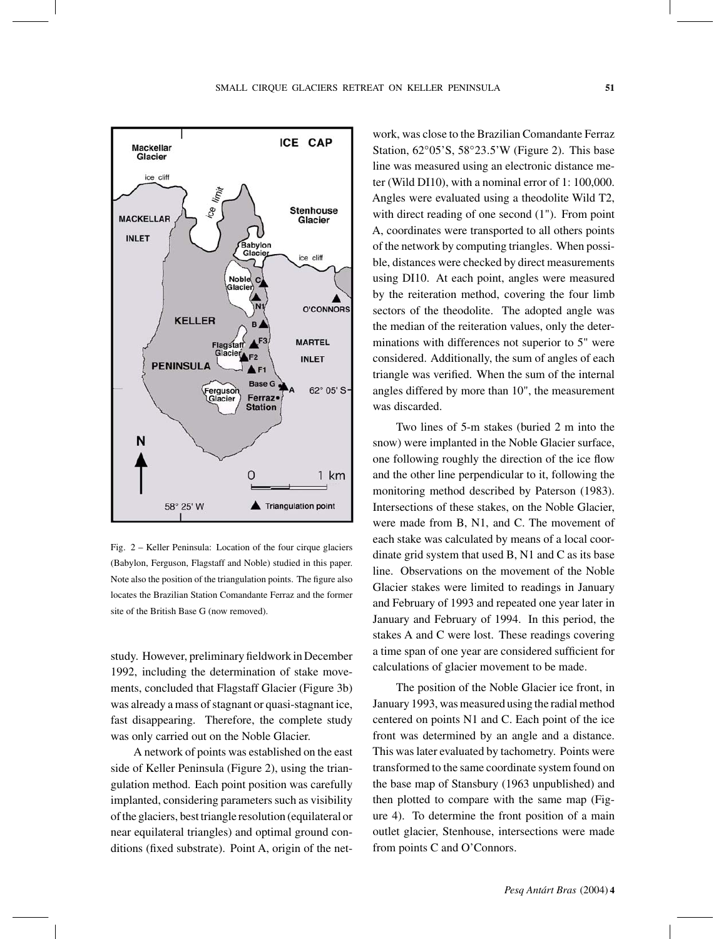

Fig. 2 – Keller Peninsula: Location of the four cirque glaciers (Babylon, Ferguson, Flagstaff and Noble) studied in this paper. Note also the position of the triangulation points. The figure also locates the Brazilian Station Comandante Ferraz and the former site of the British Base G (now removed).

study. However, preliminary fieldwork in December 1992, including the determination of stake movements, concluded that Flagstaff Glacier (Figure 3b) was already a mass of stagnant or quasi-stagnant ice, fast disappearing. Therefore, the complete study was only carried out on the Noble Glacier.

A network of points was established on the east side of Keller Peninsula (Figure 2), using the triangulation method. Each point position was carefully implanted, considering parameters such as visibility of the glaciers, best triangle resolution (equilateral or near equilateral triangles) and optimal ground conditions (fixed substrate). Point A, origin of the network, was close to the Brazilian Comandante Ferraz Station, 62◦05'S, 58◦23.5'W (Figure 2). This base line was measured using an electronic distance meter (Wild DI10), with a nominal error of 1: 100,000. Angles were evaluated using a theodolite Wild T2, with direct reading of one second (1"). From point A, coordinates were transported to all others points of the network by computing triangles. When possible, distances were checked by direct measurements using DI10. At each point, angles were measured by the reiteration method, covering the four limb sectors of the theodolite. The adopted angle was the median of the reiteration values, only the determinations with differences not superior to 5" were considered. Additionally, the sum of angles of each triangle was verified. When the sum of the internal angles differed by more than 10", the measurement was discarded.

Two lines of 5-m stakes (buried 2 m into the snow) were implanted in the Noble Glacier surface, one following roughly the direction of the ice flow and the other line perpendicular to it, following the monitoring method described by Paterson (1983). Intersections of these stakes, on the Noble Glacier, were made from B, N1, and C. The movement of each stake was calculated by means of a local coordinate grid system that used B, N1 and C as its base line. Observations on the movement of the Noble Glacier stakes were limited to readings in January and February of 1993 and repeated one year later in January and February of 1994. In this period, the stakes A and C were lost. These readings covering a time span of one year are considered sufficient for calculations of glacier movement to be made.

The position of the Noble Glacier ice front, in January 1993, was measured using the radial method centered on points N1 and C. Each point of the ice front was determined by an angle and a distance. This was later evaluated by tachometry. Points were transformed to the same coordinate system found on the base map of Stansbury (1963 unpublished) and then plotted to compare with the same map (Figure 4). To determine the front position of a main outlet glacier, Stenhouse, intersections were made from points C and O'Connors.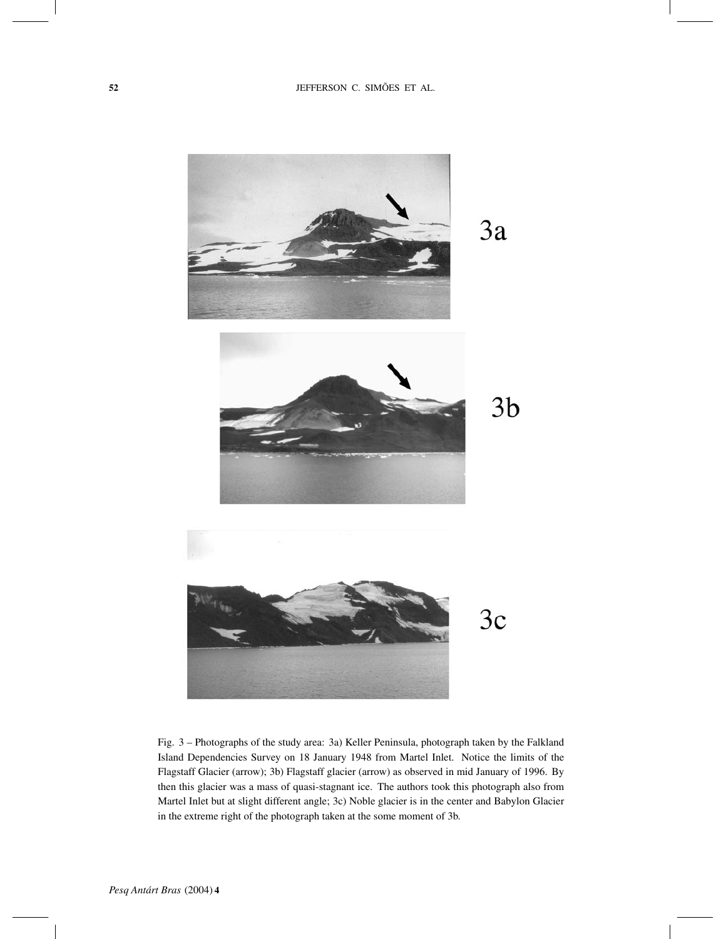

Fig. 3 – Photographs of the study area: 3a) Keller Peninsula, photograph taken by the Falkland Island Dependencies Survey on 18 January 1948 from Martel Inlet. Notice the limits of the Flagstaff Glacier (arrow); 3b) Flagstaff glacier (arrow) as observed in mid January of 1996. By then this glacier was a mass of quasi-stagnant ice. The authors took this photograph also from Martel Inlet but at slight different angle; 3c) Noble glacier is in the center and Babylon Glacier in the extreme right of the photograph taken at the some moment of 3b.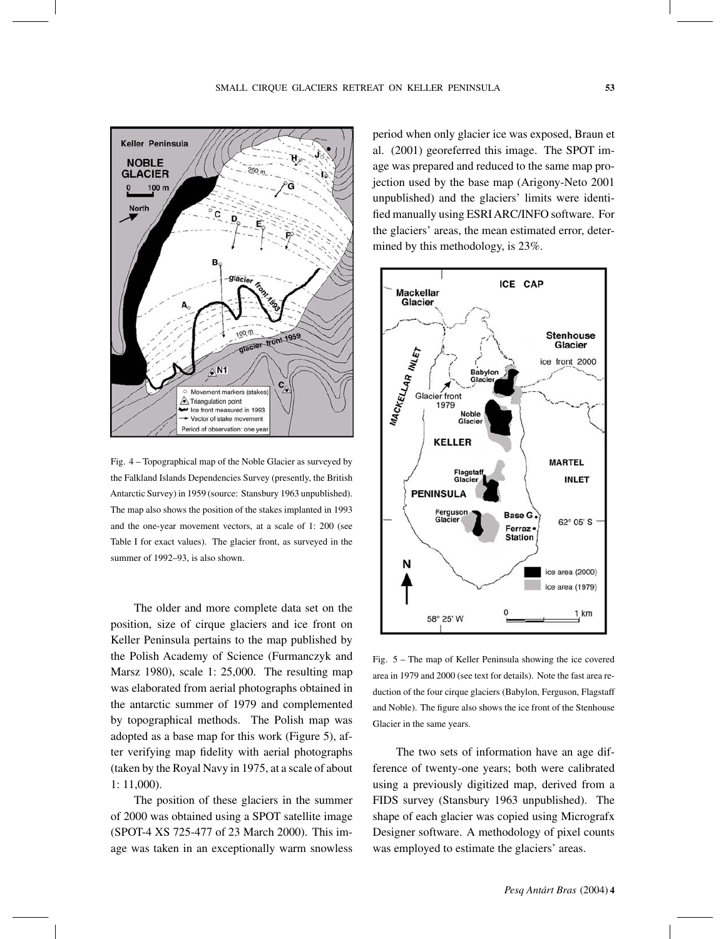



Fig. 4 – Topographical map of the Noble Glacier as surveyed by the Falkland Islands Dependencies Survey (presently, the British Antarctic Survey) in 1959 (source: Stansbury 1963 unpublished). The map also shows the position of the stakes implanted in 1993 and the one-year movement vectors, at a scale of 1: 200 (see Table I for exact values). The glacier front, as surveyed in the summer of 1992–93, is also shown.

The older and more complete data set on the position, size of cirque glaciers and ice front on Keller Peninsula pertains to the map published by the Polish Academy of Science (Furmanczyk and Marsz 1980), scale 1: 25,000. The resulting map was elaborated from aerial photographs obtained in the antarctic summer of 1979 and complemented by topographical methods. The Polish map was adopted as a base map for this work (Figure 5), after verifying map fidelity with aerial photographs (taken by the Royal Navy in 1975, at a scale of about 1: 11,000).

The position of these glaciers in the summer of 2000 was obtained using a SPOT satellite image (SPOT-4 XS 725-477 of 23 March 2000). This image was taken in an exceptionally warm snowless period when only glacier ice was exposed, Braun et al. (2001) georeferred this image. The SPOT image was prepared and reduced to the same map projection used by the base map (Arigony-Neto 2001 unpublished) and the glaciers' limits were identified manually using ESRI ARC/INFO software. For the glaciers' areas, the mean estimated error, determined by this methodology, is 23%.



Fig. 5 – The map of Keller Peninsula showing the ice covered area in 1979 and 2000 (see text for details). Note the fast area reduction of the four cirque glaciers (Babylon, Ferguson, Flagstaff and Noble). The figure also shows the ice front of the Stenhouse Glacier in the same years.

The two sets of information have an age difference of twenty-one years; both were calibrated using a previously digitized map, derived from a FIDS survey (Stansbury 1963 unpublished). The shape of each glacier was copied using Micrografx Designer software. A methodology of pixel counts was employed to estimate the glaciers' areas.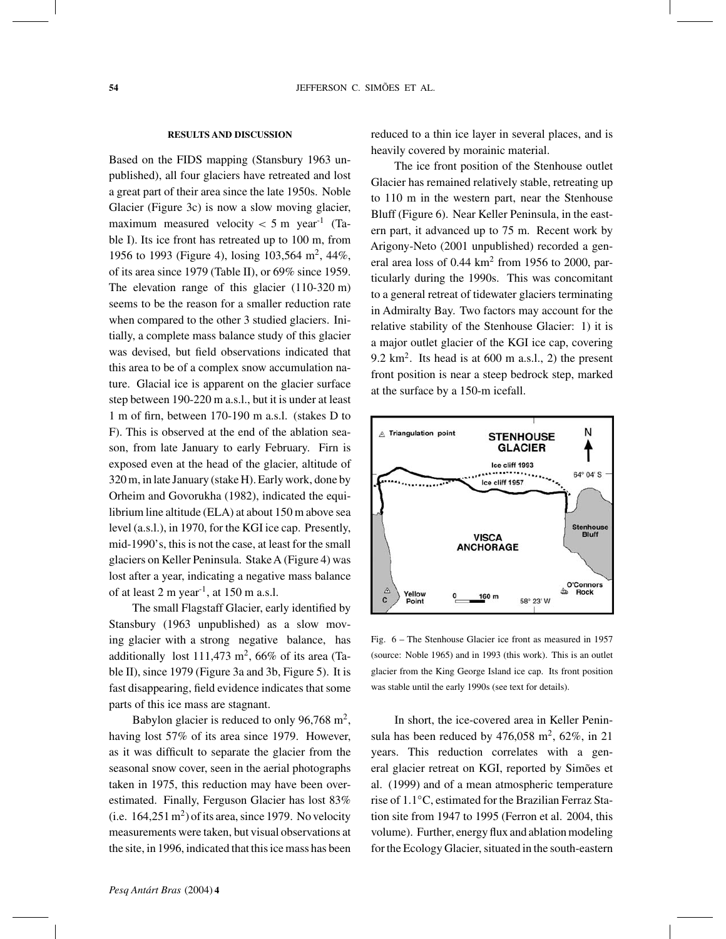#### **RESULTS AND DISCUSSION**

Based on the FIDS mapping (Stansbury 1963 unpublished), all four glaciers have retreated and lost a great part of their area since the late 1950s. Noble Glacier (Figure 3c) is now a slow moving glacier, maximum measured velocity  $< 5$  m year<sup>-1</sup> (Table I). Its ice front has retreated up to 100 m, from 1956 to 1993 (Figure 4), losing 103,564 m2, 44%, of its area since 1979 (Table II), or 69% since 1959. The elevation range of this glacier (110-320 m) seems to be the reason for a smaller reduction rate when compared to the other 3 studied glaciers. Initially, a complete mass balance study of this glacier was devised, but field observations indicated that this area to be of a complex snow accumulation nature. Glacial ice is apparent on the glacier surface step between 190-220 m a.s.l., but it is under at least 1 m of firn, between 170-190 m a.s.l. (stakes D to F). This is observed at the end of the ablation season, from late January to early February. Firn is exposed even at the head of the glacier, altitude of 320 m, in late January (stake H). Early work, done by Orheim and Govorukha (1982), indicated the equilibrium line altitude (ELA) at about 150 m above sea level (a.s.l.), in 1970, for the KGI ice cap. Presently, mid-1990's, this is not the case, at least for the small glaciers on Keller Peninsula. StakeA (Figure 4) was lost after a year, indicating a negative mass balance of at least 2 m year<sup>-1</sup>, at 150 m a.s.l.

The small Flagstaff Glacier, early identified by Stansbury (1963 unpublished) as a slow moving glacier with a strong negative balance, has additionally lost  $111,473$  m<sup>2</sup>, 66% of its area (Table II), since 1979 (Figure 3a and 3b, Figure 5). It is fast disappearing, field evidence indicates that some parts of this ice mass are stagnant.

Babylon glacier is reduced to only 96,768 m<sup>2</sup>, having lost 57% of its area since 1979. However, as it was difficult to separate the glacier from the seasonal snow cover, seen in the aerial photographs taken in 1975, this reduction may have been overestimated. Finally, Ferguson Glacier has lost 83% (i.e.  $164,251 \text{ m}^2$ ) of its area, since 1979. No velocity measurements were taken, but visual observations at the site, in 1996, indicated that this ice mass has been reduced to a thin ice layer in several places, and is heavily covered by morainic material.

The ice front position of the Stenhouse outlet Glacier has remained relatively stable, retreating up to 110 m in the western part, near the Stenhouse Bluff (Figure 6). Near Keller Peninsula, in the eastern part, it advanced up to 75 m. Recent work by Arigony-Neto (2001 unpublished) recorded a general area loss of  $0.44 \text{ km}^2$  from 1956 to 2000, particularly during the 1990s. This was concomitant to a general retreat of tidewater glaciers terminating in Admiralty Bay. Two factors may account for the relative stability of the Stenhouse Glacier: 1) it is a major outlet glacier of the KGI ice cap, covering 9.2  $km<sup>2</sup>$ . Its head is at 600 m a.s.l., 2) the present front position is near a steep bedrock step, marked at the surface by a 150-m icefall.



Fig. 6 – The Stenhouse Glacier ice front as measured in 1957 (source: Noble 1965) and in 1993 (this work). This is an outlet glacier from the King George Island ice cap. Its front position was stable until the early 1990s (see text for details).

In short, the ice-covered area in Keller Peninsula has been reduced by  $476,058$  m<sup>2</sup>,  $62\%$ , in 21 years. This reduction correlates with a general glacier retreat on KGI, reported by Simões et al. (1999) and of a mean atmospheric temperature rise of 1.1◦C, estimated for the Brazilian Ferraz Station site from 1947 to 1995 (Ferron et al. 2004, this volume). Further, energy flux and ablation modeling for the Ecology Glacier, situated in the south-eastern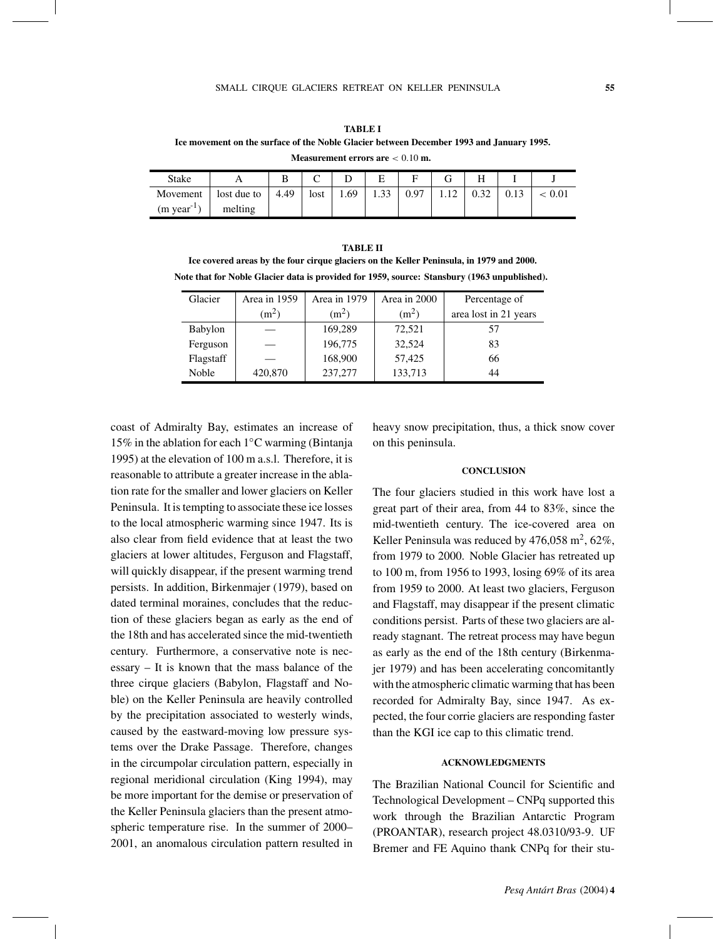**TABLE I Ice movement on the surface of the Noble Glacier between December 1993 and January 1995. Measurement errors are** < 0.10 **m.**

| <b>Stake</b>            |             | B    |      |     |                   | ᠇    |  |      |
|-------------------------|-------------|------|------|-----|-------------------|------|--|------|
| Movement                | lost due to | 4.49 | lost | .69 | $\bigcap$<br>1.33 | 0.97 |  | 0.01 |
| $(m \text{ year}^{-1})$ | melting     |      |      |     |                   |      |  |      |

**TABLE II Ice covered areas by the four cirque glaciers on the Keller Peninsula, in 1979 and 2000. Note that for Noble Glacier data is provided for 1959, source: Stansbury (1963 unpublished).**

| Glacier   | Area in 1959      | Area in 1979 | Area in 2000      | Percentage of         |  |
|-----------|-------------------|--------------|-------------------|-----------------------|--|
|           | (m <sup>2</sup> ) | $(m^2)$      | (m <sup>2</sup> ) | area lost in 21 years |  |
| Babylon   |                   | 169,289      | 72,521            | 57                    |  |
| Ferguson  |                   | 196,775      | 32,524            | 83                    |  |
| Flagstaff |                   | 168,900      | 57,425            | 66                    |  |
| Noble     | 420,870           | 237,277      | 133,713           | 44                    |  |

coast of Admiralty Bay, estimates an increase of 15% in the ablation for each 1◦C warming (Bintanja 1995) at the elevation of 100 m a.s.l. Therefore, it is reasonable to attribute a greater increase in the ablation rate for the smaller and lower glaciers on Keller Peninsula. It is tempting to associate these ice losses to the local atmospheric warming since 1947. Its is also clear from field evidence that at least the two glaciers at lower altitudes, Ferguson and Flagstaff, will quickly disappear, if the present warming trend persists. In addition, Birkenmajer (1979), based on dated terminal moraines, concludes that the reduction of these glaciers began as early as the end of the 18th and has accelerated since the mid-twentieth century. Furthermore, a conservative note is necessary – It is known that the mass balance of the three cirque glaciers (Babylon, Flagstaff and Noble) on the Keller Peninsula are heavily controlled by the precipitation associated to westerly winds, caused by the eastward-moving low pressure systems over the Drake Passage. Therefore, changes in the circumpolar circulation pattern, especially in regional meridional circulation (King 1994), may be more important for the demise or preservation of the Keller Peninsula glaciers than the present atmospheric temperature rise. In the summer of 2000– 2001, an anomalous circulation pattern resulted in

heavy snow precipitation, thus, a thick snow cover on this peninsula.

#### **CONCLUSION**

The four glaciers studied in this work have lost a great part of their area, from 44 to 83%, since the mid-twentieth century. The ice-covered area on Keller Peninsula was reduced by  $476,058$  m<sup>2</sup>,  $62\%$ , from 1979 to 2000. Noble Glacier has retreated up to 100 m, from 1956 to 1993, losing 69% of its area from 1959 to 2000. At least two glaciers, Ferguson and Flagstaff, may disappear if the present climatic conditions persist. Parts of these two glaciers are already stagnant. The retreat process may have begun as early as the end of the 18th century (Birkenmajer 1979) and has been accelerating concomitantly with the atmospheric climatic warming that has been recorded for Admiralty Bay, since 1947. As expected, the four corrie glaciers are responding faster than the KGI ice cap to this climatic trend.

## **ACKNOWLEDGMENTS**

The Brazilian National Council for Scientific and Technological Development – CNPq supported this work through the Brazilian Antarctic Program (PROANTAR), research project 48.0310/93-9. UF Bremer and FE Aquino thank CNPq for their stu-